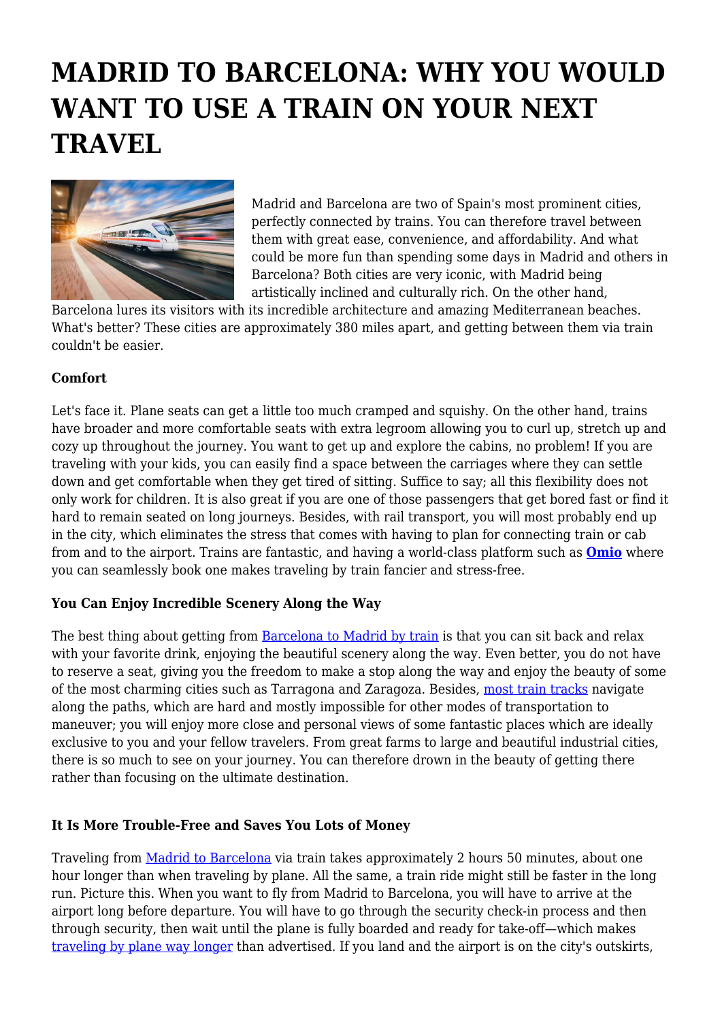# **MADRID TO BARCELONA: WHY YOU WOULD WANT TO USE A TRAIN ON YOUR NEXT TRAVEL**



Madrid and Barcelona are two of Spain's most prominent cities, perfectly connected by trains. You can therefore travel between them with great ease, convenience, and affordability. And what could be more fun than spending some days in Madrid and others in Barcelona? Both cities are very iconic, with Madrid being artistically inclined and culturally rich. On the other hand,

Barcelona lures its visitors with its incredible architecture and amazing Mediterranean beaches. What's better? These cities are approximately 380 miles apart, and getting between them via train couldn't be easier.

### **Comfort**

Let's face it. Plane seats can get a little too much cramped and squishy. On the other hand, trains have broader and more comfortable seats with extra legroom allowing you to curl up, stretch up and cozy up throughout the journey. You want to get up and explore the cabins, no problem! If you are traveling with your kids, you can easily find a space between the carriages where they can settle down and get comfortable when they get tired of sitting. Suffice to say; all this flexibility does not only work for children. It is also great if you are one of those passengers that get bored fast or find it hard to remain seated on long journeys. Besides, with rail transport, you will most probably end up in the city, which eliminates the stress that comes with having to plan for connecting train or cab from and to the airport. Trains are fantastic, and having a world-class platform such as **[Omio](https://www.omio.com/trains/madrid/barcelona)** where you can seamlessly book one makes traveling by train fancier and stress-free.

### **You Can Enjoy Incredible Scenery Along the Way**

The best thing about getting from [Barcelona to Madrid by train](https://www.tourism-review.com/traveling-by-train-celebrated-by-a-special-express-news12029) is that you can sit back and relax with your favorite drink, enjoying the beautiful scenery along the way. Even better, you do not have to reserve a seat, giving you the freedom to make a stop along the way and enjoy the beauty of some of the most charming cities such as Tarragona and Zaragoza. Besides, [most train tracks](https://www.tourism-review.com/best-european-train-trips-news11246) navigate along the paths, which are hard and mostly impossible for other modes of transportation to maneuver; you will enjoy more close and personal views of some fantastic places which are ideally exclusive to you and your fellow travelers. From great farms to large and beautiful industrial cities, there is so much to see on your journey. You can therefore drown in the beauty of getting there rather than focusing on the ultimate destination.

### **It Is More Trouble-Free and Saves You Lots of Money**

Traveling from [Madrid to Barcelona](http://news.bbc.co.uk/2/hi/europe/8268003.stm) via train takes approximately 2 hours 50 minutes, about one hour longer than when traveling by plane. All the same, a train ride might still be faster in the long run. Picture this. When you want to fly from Madrid to Barcelona, you will have to arrive at the airport long before departure. You will have to go through the security check-in process and then through security, then wait until the plane is fully boarded and ready for take-off—which makes [traveling by plane way longer](https://www.tourism-review.com/portals-underestimated-the-air-travel-time-news11413) than advertised. If you land and the airport is on the city's outskirts,